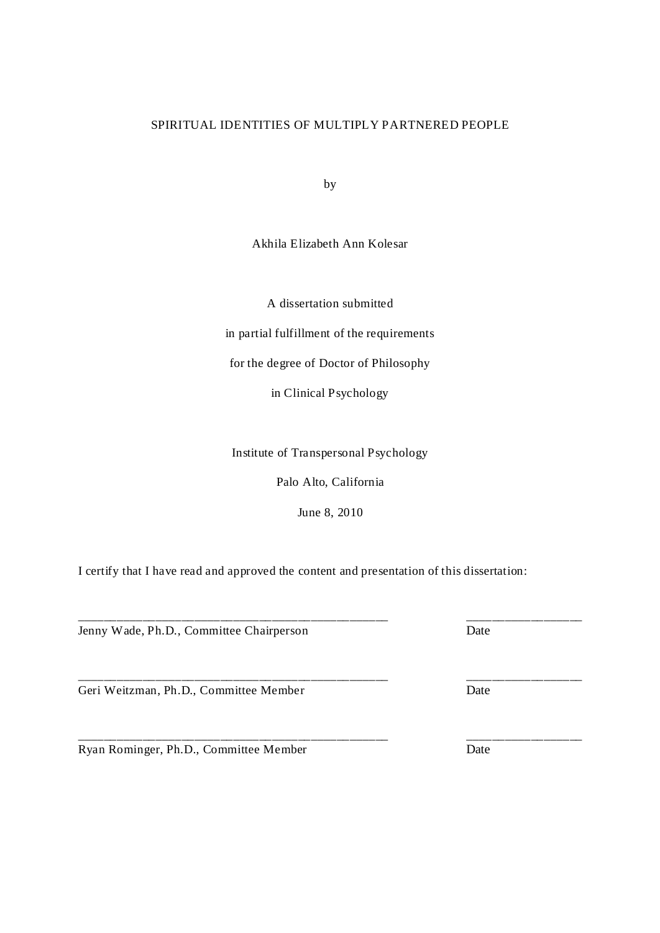# SPIRITUAL IDENTITIES OF MULTIPLY PARTNERED PEOPLE

by

Akhila Elizabeth Ann Kolesar

A dissertation submitted in partial fulfillment of the requirements for the degree of Doctor of Philosophy in Clinical Psychology

Institute of Transpersonal Psychology

Palo Alto, California

June 8, 2010

\_\_\_\_\_\_\_\_\_\_\_\_\_\_\_\_\_\_\_\_\_\_\_\_\_\_\_\_\_\_\_\_\_\_\_\_\_\_\_\_\_\_\_\_\_\_\_\_ \_\_\_\_\_\_\_\_\_\_\_\_\_\_\_\_\_\_

\_\_\_\_\_\_\_\_\_\_\_\_\_\_\_\_\_\_\_\_\_\_\_\_\_\_\_\_\_\_\_\_\_\_\_\_\_\_\_\_\_\_\_\_\_\_\_\_ \_\_\_\_\_\_\_\_\_\_\_\_\_\_\_\_\_\_

I certify that I have read and approved the content and presentation of this dissertation:

Jenny Wade, Ph.D., Committee Chairperson Date

Geri Weitzman, Ph.D., Committee Member Date

Ryan Rominger, Ph.D., Committee Member Date

\_\_\_\_\_\_\_\_\_\_\_\_\_\_\_\_\_\_\_\_\_\_\_\_\_\_\_\_\_\_\_\_\_\_\_\_\_\_\_\_\_\_\_\_\_\_\_\_ \_\_\_\_\_\_\_\_\_\_\_\_\_\_\_\_\_\_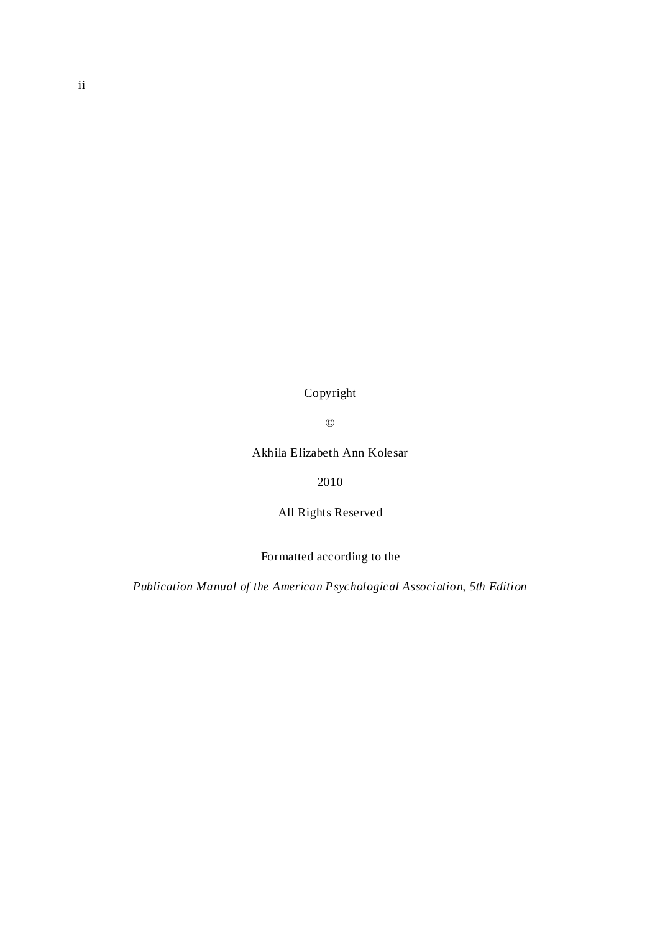Copyright

©

Akhila Elizabeth Ann Kolesar

2010

All Rights Reserved

Formatted according to the

*Publication Manual of the American Psychological Association, 5th Edition*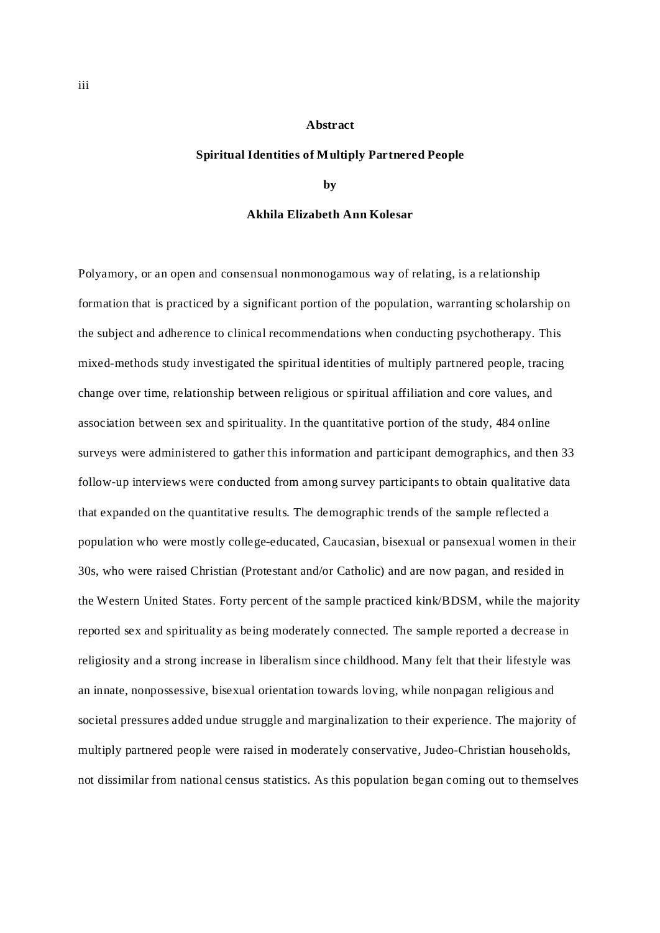# **Abstract**

### **Spiritual Identities of Multiply Partnered People**

#### **by**

### **Akhila Elizabeth Ann Kolesar**

Polyamory, or an open and consensual nonmonogamous way of relating, is a relationship formation that is practiced by a significant portion of the population, warranting scholarship on the subject and adherence to clinical recommendations when conducting psychotherapy. This mixed-methods study investigated the spiritual identities of multiply partnered people, tracing change over time, relationship between religious or spiritual affiliation and core values, and association between sex and spirituality. In the quantitative portion of the study, 484 online surveys were administered to gather this information and participant demographics, and then 33 follow-up interviews were conducted from among survey participants to obtain qualitative data that expanded on the quantitative results. The demographic trends of the sample reflected a population who were mostly college-educated, Caucasian, bisexual or pansexual women in their 30s, who were raised Christian (Protestant and/or Catholic) and are now pagan, and resided in the Western United States. Forty percent of the sample practiced kink/BDSM, while the majority reported sex and spirituality as being moderately connected. The sample reported a decrease in religiosity and a strong increase in liberalism since childhood. Many felt that their lifestyle was an innate, nonpossessive, bisexual orientation towards loving, while nonpagan religious and societal pressures added undue struggle and marginalization to their experience. The majority of multiply partnered people were raised in moderately conservative, Judeo-Christian households, not dissimilar from national census statistics. As this population began coming out to themselves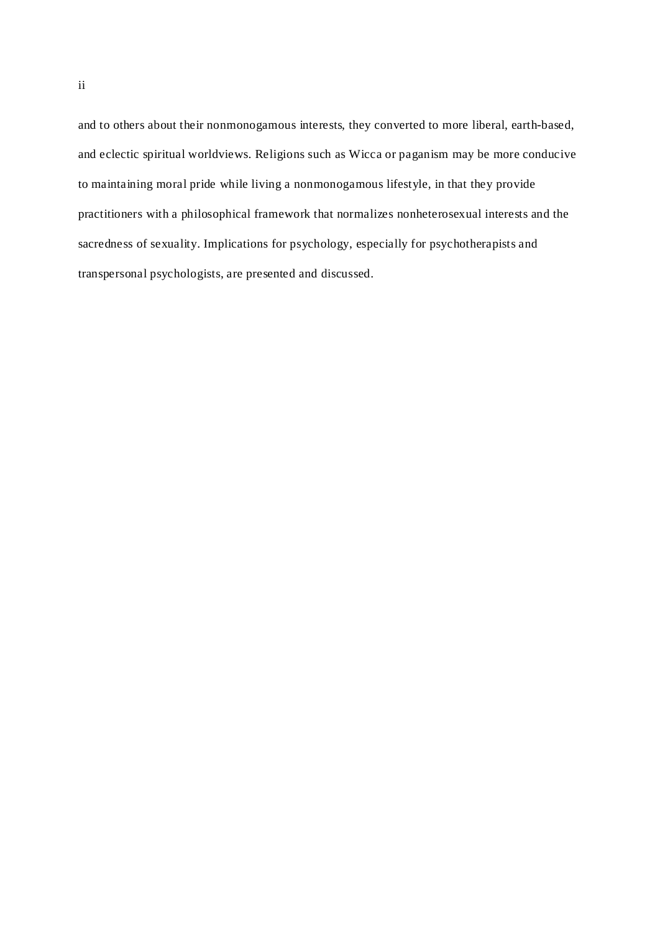and to others about their nonmonogamous interests, they converted to more liberal, earth-based, and eclectic spiritual worldviews. Religions such as Wicca or paganism may be more conducive to maintaining moral pride while living a nonmonogamous lifestyle, in that they provide practitioners with a philosophical framework that normalizes nonheterosexual interests and the sacredness of sexuality. Implications for psychology, especially for psychotherapists and transpersonal psychologists, are presented and discussed.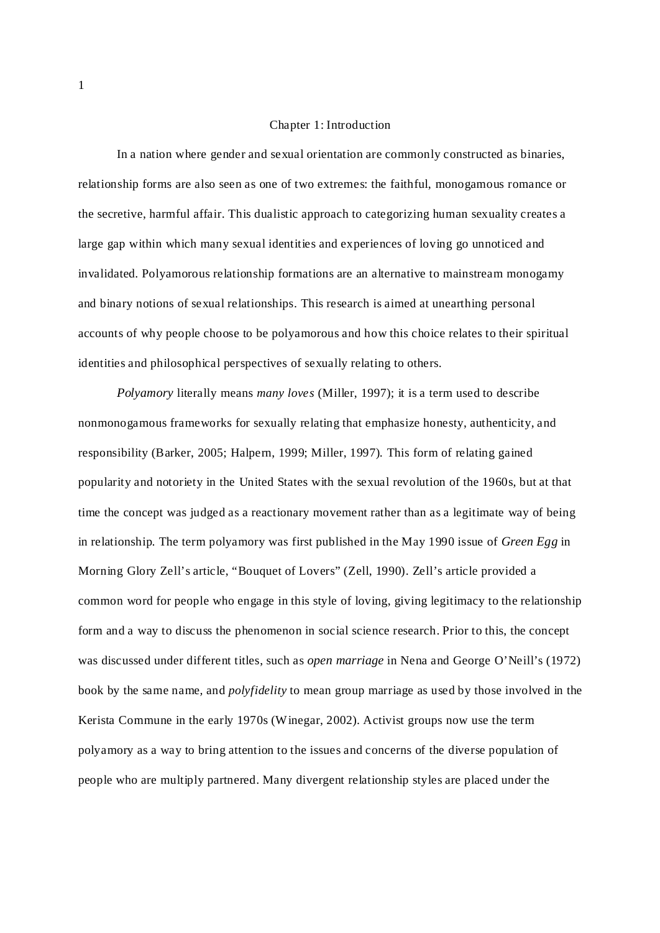## Chapter 1: Introduction

In a nation where gender and sexual orientation are commonly constructed as binaries, relationship forms are also seen as one of two extremes: the faithful, monogamous romance or the secretive, harmful affair. This dualistic approach to categorizing human sexuality creates a large gap within which many sexual identities and experiences of loving go unnoticed and invalidated. Polyamorous relationship formations are an alternative to mainstream monogamy and binary notions of sexual relationships. This research is aimed at unearthing personal accounts of why people choose to be polyamorous and how this choice relates to their spiritual identities and philosophical perspectives of sexually relating to others.

Polyamory literally means many loves (Miller, 1997); it is a term used to describe nonmonogamous frameworks for sexually relating that emphasize honesty, authenticity, and responsibility (Barker, 2005; Halpern, 1999; Miller, 1997). This form of relating gained popularity and notoriety in the United States with the sexual revolution of the 1960s, but at that time the concept was judged as a reactionary movement rather than as a legitimate way of being in relationship. The term polyamory was first published in the May 1990 issue of *Green Egg* in Morning Glory Zell's article, "Bouquet of Lovers" (Zell, 1990). Zell's article provided a common word for people who engage in this style of loving, giving legitimacy to the relationship form and a way to discuss the phenomenon in social science research. Prior to this, the concept was discussed under different titles, such as open marriage in Nena and George O'Neill's (1972) book by the same name, and *polyfidelity* to mean group marriage as used by those involved in the Kerista Commune in the early 1970s (Winegar, 2002). Activist groups now use the term polyamory as a way to bring attention to the issues and concerns of the diverse population of people who are multiply partnered. Many divergent relationship styles are placed under the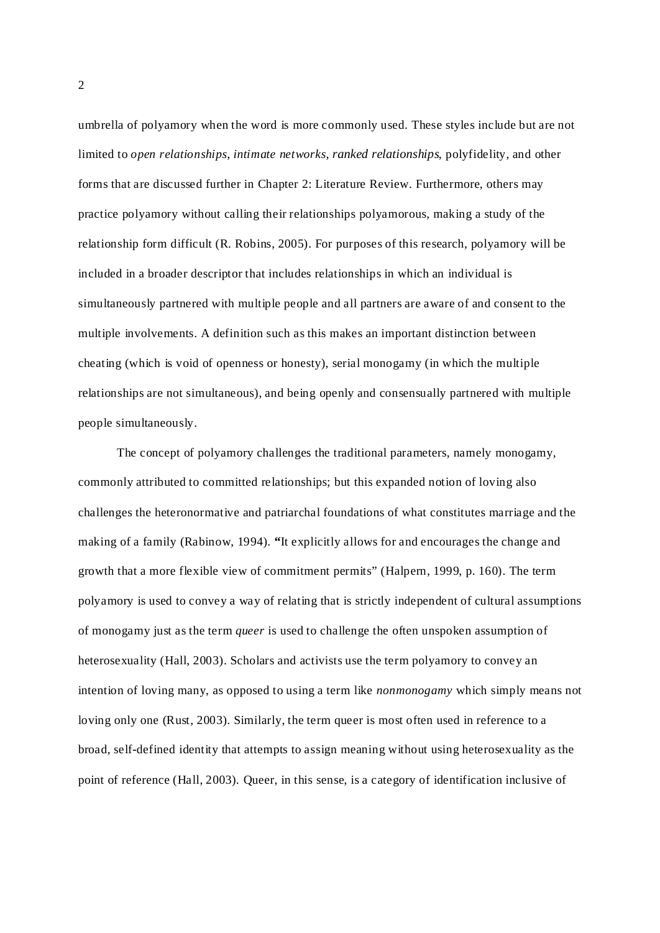umbrella of polyamory when the word is more commonly used. These styles include but are not limited to *open relationships, intimate networks, ranked relationships, polyfidelity, and other* forms that are discussed further in Chapter 2: Literature Review. Furthermore, others may practice polyamory without calling their relationships polyamorous, making a study of the relationship form difficult (R. Robins, 2005). For purposes of this research, polyamory will be included in a broader descriptor that includes relationships in which an individual is simultaneously partnered with multiple people and all partners are aware of and consent to the multiple involvements. A definition such as this makes an important distinction between cheating (which is void of openness or honesty), serial monogamy (in which the multiple relationships are not simultaneous), and being openly and consensually partnered with multiple people simultaneously.

The concept of polyamory challenges the traditional parameters, namely monogamy, commonly attributed to committed relationships; but this expanded notion of loving also challenges the heteronormative and patriarchal foundations of what constitutes marriage and the making of a family (Rabinow, 1994). "It explicitly allows for and encourages the change and growth that a more flexible view of commitment permits" (Halpern, 1999, p. 160). The term polyamory is used to convey a way of relating that is strictly independent of cultural assumptions of monogamy just as the term *queer* is used to challenge the often unspoken assumption of heterosexuality (Hall, 2003). Scholars and activists use the term polyamory to convey an intention of loving many, as opposed to using a term like *nonmonogamy* which simply means not loving only one (Rust, 2003). Similarly, the term queer is most often used in reference to a broad, self-defined identity that attempts to assign meaning without using heterosexuality as the point of reference (Hall, 2003). Queer, in this sense, is a category of identification inclusive of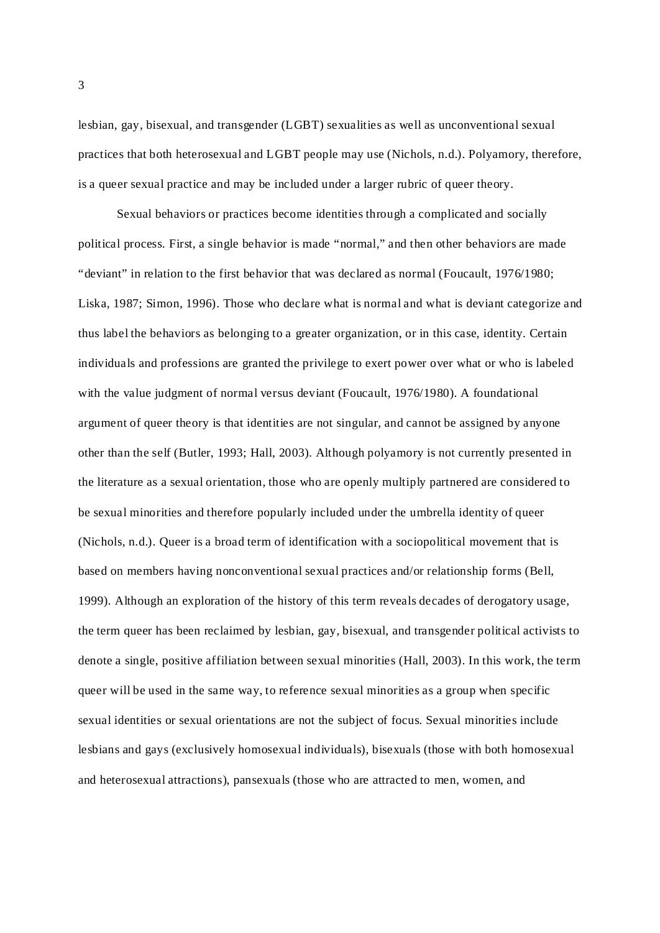lesbian, gay, bisexual, and transgender (LGBT) sexualities as well as unconventional sexual practices that both heterosexual and LGBT people may use (Nichols, n.d.). Polyamory, therefore, is a queer sexual practice and may be included under a larger rubric of queer theory.

Sexual behaviors or practices become identities through a complicated and socially political process. First, a single behavior is made "normal," and then other behaviors are made "deviant" in relation to the first behavior that was declared as normal (Foucault, 1976/1980; Liska, 1987; Simon, 1996). Those who declare what is normal and what is deviant categorize and thus label the behaviors as belonging to a greater organization, or in this case, identity. Certain individuals and professions are granted the privilege to exert power over what or who is labeled with the value judgment of normal versus deviant (Foucault, 1976/1980). A foundational argument of queer theory is that identities are not singular, and cannot be assigned by anyone other than the self (Butler, 1993; Hall, 2003). Although polyamory is not currently presented in the literature as a sexual orientation, those who are openly multiply partnered are considered to be sexual minorities and therefore popularly included under the umbrella identity of queer (Nichols, n.d.). Queer is a broad term of identification with a sociopolitical movement that is based on members having nonconventional sexual practices and/or relationship forms (Bell, 1999). Although an exploration of the history of this term reveals decades of derogatory usage, the term queer has been reclaimed by lesbian, gay, bisexual, and transgender political activists to denote a single, positive affiliation between sexual minorities (Hall, 2003). In this work, the term queer will be used in the same way, to reference sexual minorities as a group when specific sexual identities or sexual orientations are not the subject of focus. Sexual minorities include lesbians and gays (exclusively homosexual individuals), bisexuals (those with both homosexual and heterosexual attractions), pansexuals (those who are attracted to men, women, and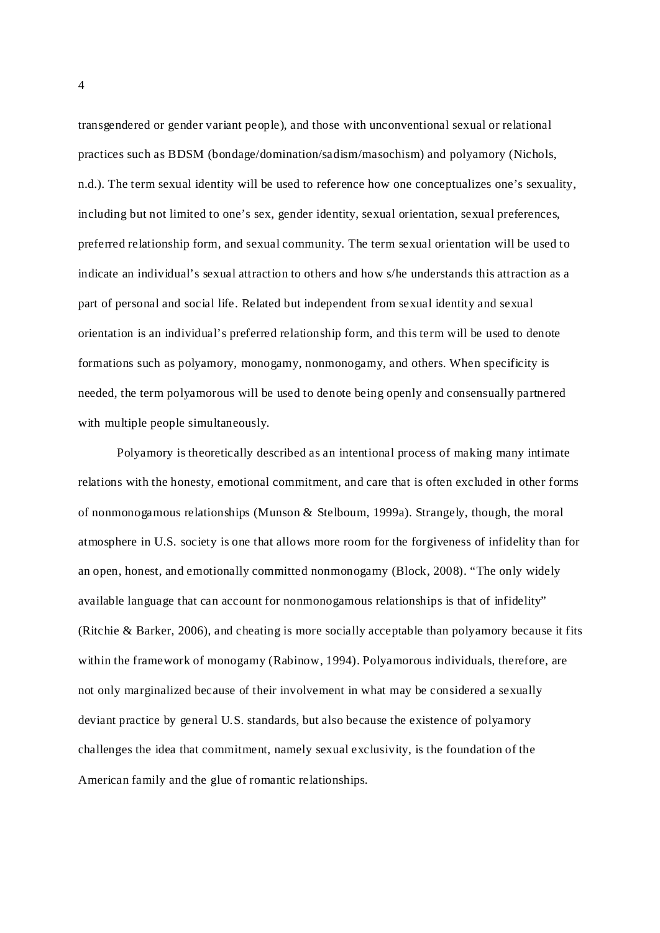transgendered or gender variant people), and those with unconventional sexual or relational practices such as BDSM (bondage/domination/sadism/masochism) and polyamory (Nichols, n.d.). The term sexual identity will be used to reference how one conceptualizes one's sexuality, including but not limited to one's sex, gender identity, sexual orientation, sexual preferences, preferred relationship form, and sexual community. The term sexual orientation will be used to indicate an individual's sexual attraction to others and how s/he understands this attraction as a part of personal and social life. Related but independent from sexual identity and sexual orientation is an individual's preferred relationship form, and this term will be used to denote formations such as polyamory, monogamy, nonmonogamy, and others. When specificity is needed, the term polyamorous will be used to denote being openly and consensually partnered with multiple people simultaneously.

Polyamory is theoretically described as an intentional process of making many intimate relations with the honesty, emotional commitment, and care that is often excluded in other forms of nonmonogamous relationships (Munson & Stelboum, 1999a). Strangely, though, the moral atmosphere in U.S. society is one that allows more room for the forgiveness of infidelity than for an open, honest, and emotionally committed nonmonogamy (Block, 2008). "The only widely available language that can account for nonmonogamous relationships is that of infidelity" (Ritchie & Barker, 2006), and cheating is more socially acceptable than polyamory because it fits within the framework of monogamy (Rabinow, 1994). Polyamorous individuals, therefore, are not only marginalized because of their involvement in what may be considered a sexually deviant practice by general U.S. standards, but also because the existence of polyamory challenges the idea that commitment, namely sexual exclusivity, is the foundation of the American family and the glue of romantic relationships.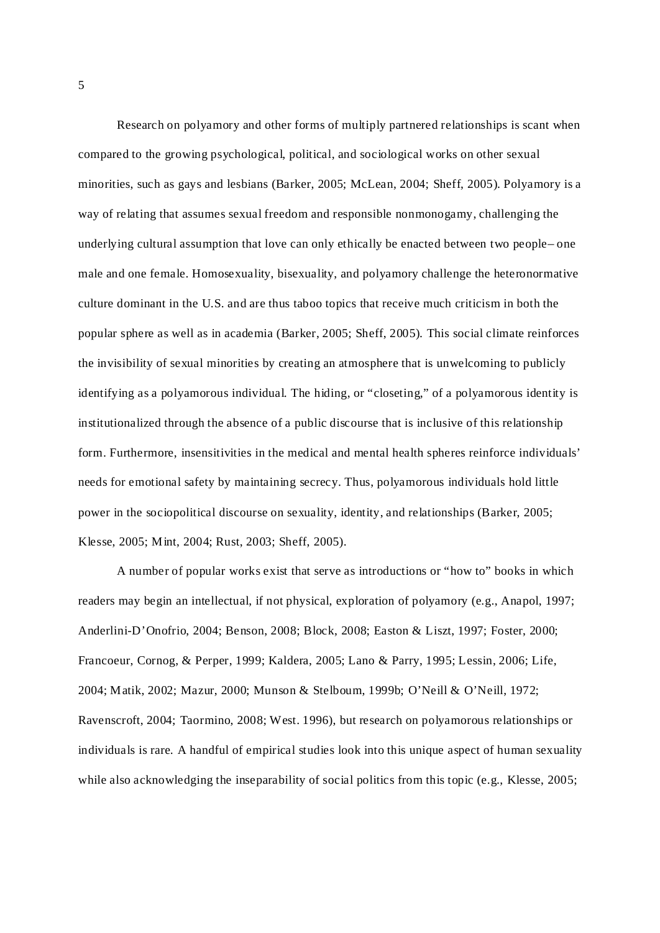Research on polyamory and other forms of multiply partnered relationships is scant when compared to the growing psychological, political, and sociological works on other sexual minorities, such as gays and lesbians (Barker, 2005; McLean, 2004; Sheff, 2005). Polyamory is a way of relating that assumes sexual freedom and responsible nonmonogamy, challenging the underlying cultural assumption that love can only ethically be enacted between two people– one male and one female. Homosexuality, bisexuality, and polyamory challenge the heteronormative culture dominant in the U.S. and are thus taboo topics that receive much criticism in both the popular sphere as well as in academia (Barker, 2005; Sheff, 2005). This social climate reinforces the invisibility of sexual minorities by creating an atmosphere that is unwelcoming to publicly identifying as a polyamorous individual. The hiding, or "closeting," of a polyamorous identity is institutionalized through the absence of a public discourse that is inclusive of this relationship form. Furthermore, insensitivities in the medical and mental health spheres reinforce individuals' needs for emotional safety by maintaining secrecy. Thus, polyamorous individuals hold little power in the sociopolitical discourse on sexuality, identity, and relationships (Barker, 2005; Klesse, 2005; Mint, 2004; Rust, 2003; Sheff, 2005).

A number of popular works exist that serve as introductions or "how to" books in which readers may begin an intellectual, if not physical, exploration of polyamory (e.g., Anapol, 1997; Anderlini-D'Onofrio, 2004; Benson, 2008; Block, 2008; Easton & Liszt, 1997; Foster, 2000; Francoeur, Cornog, & Perper, 1999; Kaldera, 2005; Lano & Parry, 1995; Lessin, 2006; Life, 2004; Matik, 2002; Mazur, 2000; Munson & Stelboum, 1999b; O'Neill & O'Neill, 1972; Ravenscroft, 2004; Taormino, 2008; West. 1996), but research on polyamorous relationships or individuals is rare. A handful of empirical studies look into this unique aspect of human sexuality while also acknowledging the inseparability of social politics from this topic (e.g., Klesse, 2005;